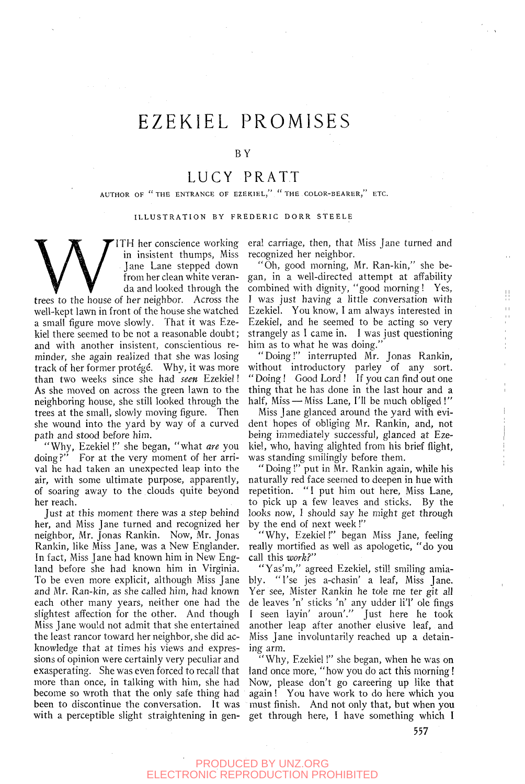# EZEKIEL PROMISES

#### BY

### LUCY PRATT

AUTHOR OF "THE ENTRANCE OF EZEKIEL," "THE COLOR-BEARER," ETC.

#### ILLUSTRATION BY FREDERIC DORR STEELE ILLUSTRATIO N BY FREDERIC DORREST DESCRIPTION OF A STEEL EXPLORATION OF A STEEL EXPLORATION OF A STEEL EXPLORATION OF A STEEL EXPLORATION OF A STEEL EXPLORATION OF A STEEL EXPLORATION OF A STEEL EXPLORATION OF A STEEL EXPL

ITH her conscience working in insistent thumps. Miss Jane Lane stepped down from her clean white veranda and looked through the

W<br> **W**<br>  $\begin{array}{c}\n\text{in } \text{ in } \text{ in } \text{ [from } \text{ [from } \text{ [from } \text{ [from } \text{ [from } \text{ [from } \text{ [to } \text{ [to } \text{ [to } \text{ [to } \text{ [to } \text{ [to } \text{ [to } \text{ [to } \text{ [to } \text{ [to } \text{ [to } \text{ [to } \text{ [to } \text{ [to } \text{ [to } \text{ [to } \text{ [to } \text{ [to } \text{ [to } \text{ [to } \text{ [to } \text{ [to } \text{ [to } \text{ [to } \text{ [to } \text{ [$ trees to the house of her neighbor. Across the well-kept lawn in front of the house she watched a small figure move slowly. That it was Ezekiel there seemed to be not a reasonable doubt; and with another insistent, conscientious reminder, she again realized that she was losing track of her former protégé. Why, it was more than two weeks since she had *seen* Ezekiel! As she moved on across the green lawn to the neighboring house, she still looked through the trees at the small, slowly moving figure. Then she wound into the yard by way of a curved path and stood before him.

"Why, Ezekiel !" she began, "what are you doing?" For at the very moment of her arrival he had taken an unexpected leap into the air, with some ultimate purpose, apparently, of soaring away to the clouds quite beyond her reach.

Just at this moment there was a step behind her, and Miss Jane turned and recognized her neighbor, Mr. Jonas Rankin. Now, Mr. Jonas Rankin, like Miss Jane, was a New Englander. In fact. Miss Jane had known him in New England before she had known him in Virginia. To be even more explicit, although Miss Jane and Mr. Ran-kin, as she called him, had known each other many years, neither one had the slightest affection for the other. And though Miss Jane would not admit that she entertained the least rancor toward her neighbor, she did acknowledge that at times his views and expressions of opinion were certainly very peculiar and exasperating. She was even forced to recall that more than once, in talking with him, she had become so wroth that the only safe thing had been to discontinue the conversation. It was with a perceptible slight straightening in gen-

eral carriage, then, that Miss Jane turned and recognized her neighbor.

"Oh, good morning, Mr. Ran-kin," she began, in a well-directed attempt at affability combined with dignity, "good morning! Yes, I was just having a little conversation with Ezekiel. You know, I am always interested in Ezekiel, and he seemed to be acting so very strangely as I came in. I was just questioning him as to what he was doing."

"Doing!" interrupted Mr. Jonas Rankin, without introductory parley of any sort. "Doing! Good Lord ! If you can find out one thing that he has done in the last hour and a half, Miss — Miss Lane, I'll be much obliged !"

Miss Jane glanced around the yard with evident hopes of obliging Mr. Rankin, and, not being immediately successful, glanced at Ezekiel, who, having alighted from his brief flight, was standing smilingly before them.

"Doing !" put in Mr. Rankin again, while his naturally red face seemed to deepen in hue with repetition. "I put him out here, Miss Lane, to pick up a few leaves and sticks. By the looks now, I should say he might get through by the end of next week !"

"Why, Ezekiel!" began Miss Jane, feeling really mortified as well as apologetic, "do you call this *work?"* 

"Yas'm," agreed Ezekiel, still smiling amiably. "I'se jes a-chasin' a leaf. Miss Jane. Yer see. Mister Rankin he tole me ter git all de leaves 'n' sticks 'n' any udder li'l' ole fings I seen layin' aroun'." Just here he took another leap after another elusive leaf, and Miss Jane involuntarily reached up a detaining arm..

"Why, Ezekiel!" she began, when he was on land once more, "how you do act this morning! Now, please don't go careering up like that again I You have work to do here which you must finish. And not only that, but when you get through here, I have something which 1

#### PRODUCED BY UNZ.ORG ELECTRONIC REPRODUCTION PROHIBITED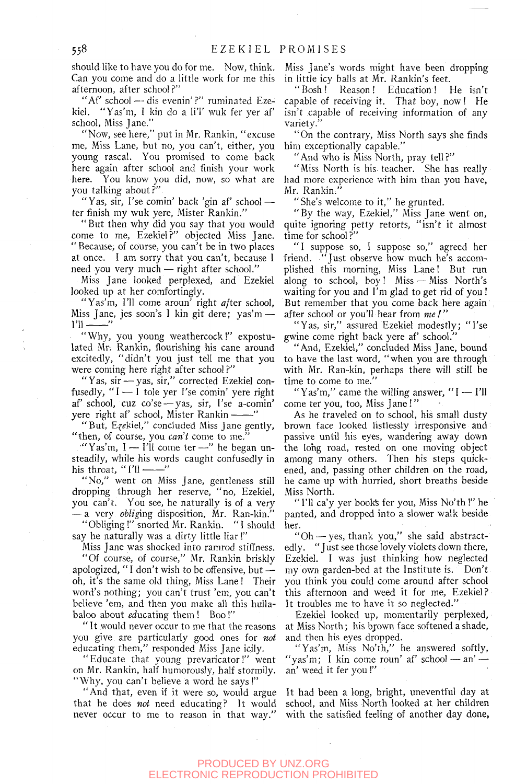should like to have you do for me. Now, think. Can you come and do a little work for me this afternoon, after school ?"

"Af' school -- dis evenin'?" ruminated Ezekiel. "Yas'm, I kin do a li'l' wuk fer yer af school, Miss Jane."

"Now, see here," put in Mr. Rankin, "excuse me. Miss Lane, but no, you can't, either, you young rascal. You promised to come back here again after school and finish your work here. You know you did, now, so what are you talking about?"

"Yas, sir, I'se comin' back 'gin af' school ter finish my wuk yere. Mister Rankin."

" But then why did you say that you would come to me, Ezekiel?" objected Miss Jane. "Because, of course, you can't be in two places at once. I am sorry that you can't, because I need you very much — right after school."

-Miss Jane looked perplexed, and Ezekiel looked up at her comfortingly.

"Yas'm, I'll come aroun' right after school, Miss Jane, jes soon's I kin git dere; yas'm —  $I'll$  -

" Why, you young weathercock!" expostulated Mr. Rankin, flourishing his cane around excitedly, "didn't you just tell me that you were coming here right after school ?"

"Yas, sir — yas, sir," corrected Ezekiel confusedly, " $I - I$  tole yer I'se comin' yere right af' school, cuz co'se - yas, sir, l'se a-comin' yere right af' school, Mister Rankin --

"But, Ezekiel," concluded Miss Jane gently, "then, of course, you can't come to me."

"Yas'm,  $I - I'$ ll come ter —" he began unsteadily, while his words caught confusedly in<br>his throat " $1'll$  — " his throat, "I'll -

"No," went on Miss Jane, gentleness still dropping through her reserve, "no, Ezekiel, you can't. You see, he naturally is of a very — a very *obliging* disposition, Mr. Ran-kin."

"Obliging!" snorted Mr. Rankin. "I should say he naturally was a dirty little liar!"

.Miss Jane was shocked into ramrod stiffness.

"Of course, of course," Mr. Rankin briskly apologized, " I don't wish to be offensive, but oh, it's the same old thing, Miss Lane! Their word's nothing; you can't trust 'em, you can't believe 'em, and then you make all this hullabaloo about *educating* them! Boo!"

" It would never occur to me that the reasons you give are particularly good ones for *not*  educating them," responded Miss Jane icily.

"Educate that young prevaricator!" went on Mr. Rankin, half humorously, half stormily. "Why, you can't believe a word he says!"

"And that, even if it were so, would argue that he does *not* need educating? It would never occur to me to reason in that way."

Miss Jane's words might have been dropping in little icy balls at Mr. Rankin's feet.

" Bosh ! Reason ! Education ! He isn't capable of receiving it. That boy, now! He isn't capable of receiving information of any variety."

"On the contrary, Miss North says she finds him exceptionally capable."

"And who is Miss North, pray tell?"

"Miss North is his teacher. She has really had more experience with him than you have, Mr. Rankin."

"She's welcome to it," he grunted.

"By the way, Ezekiel," Miss Jane went on, quite ignoring petty retorts, "isn't it almost time for school?"

"I suppose so, I suppose so," agreed her friend. "Just observe how much he's accomplished this morning, Miss Lane! But run along to school, boy ! Miss — Miss North's waiting for you and I'm glad to get rid of you ! But remember that you come back here again after school or you'll hear from *me ! "* 

"Yas, sir," assured Ezekiel modestly; "I'se gwine come right back yere af' school."

"And, Ezekiel," concluded Miss Jane, bound to have the last word, "when you are through with Mr. Ran-kin, perhaps there will still be time to come to me."

"Yas'm," came the willing answer, " $I - I'll$ come ter you, too, Miss Jane!"

As he traveled on to school, his small dusty brown face looked listlessly irresponsive and passive until his eyes, wandering away down the long road, rested on one moving object among many others. Then his steps quickened, and, passing other children on the road, he came up with hurried, short breaths beside Miss North.

" I'll ca'y yer books fer you. Miss No'th I" he panted, and dropped into a slower walk beside her.

"Oh — yes, thank you," she said abstractedly. "Just see those lovely violets down there, Ezekiel. I was just thinking how neglected my own garden-bed at the Institute is. Don't you think you could come around after school this afternoon and weed it for me, Ezekiel? It troubles me to have it so neglected."

Ezekiel looked up, momentarily perplexed, at Miss North; his bjown face softened a shade, and then his eyes dropped.

"Yas'm, Miss No'th," he answered softly, "yas'm; I kin come roun' af' school — an' an' weed it fer you !"

It had been a long, bright, uneventful day at school, and Miss North looked at her children with the satisfied feeling of another day done,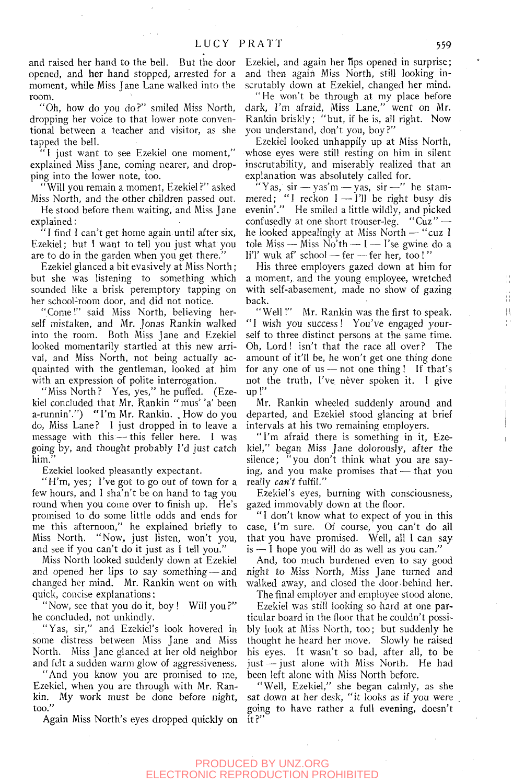and raised her hand to the bell. But the door opened, and her hand stopped, arrested for a moment, while Miss Jane Lane walked into the room.

"Oh, how do you do?" smiled Miss North, dropping her voice to that lower note conventional between a teacher and visitor, as she tapped the bell.

" I just want to see Ezekiel one moment," explained Miss Jane, coming nearer, and dropping into the lower note, too.

"Will you remain a moment, Ezekiel ?" asked Miss North, and the other children passed out.

He stood before them waiting, and Miss Jane explained:

" I find I can't get home again until after six, Ezekiel; but I want to tell you just what you are to do in the garden when you get there."

Ezekiel glanced a bit evasively at Miss North; but she was listening to something which sounded like a brisk peremptory tapping on her school-room door, and did not notice.

"Come!" said Miss North, believing herself mistaken, and Mr. Jonas Rankin walked into the room. Both Miss Jane and Ezekiel looked momentarily startled at this new arrival, and Miss North, not being actually acquainted with the gentleman, looked at him with an expression of polite interrogation.

"Miss North? Yes, yes," he puffed. (Ezekiel concluded that Mr. Rankin " mus' 'a' been a-runnin'.") "I'm Mr. Rankin. , How do you do. Miss Lane? I just dropped in to leave a message with this — this feller here. I was going by, and thought probably I'd just catch him."

Ezekiel looked pleasantly expectant.

"H'm, yes; I've got to go out of town for a few hours, and I sha'n't be on hand to tag you round when you come over to finish up. He's promised to do some little odds and ends for me this afternoon," he explained briefly to Miss North. "Now, just listen, won't you, and see if you can't do it just as I tell you."

Miss North looked suddenly down at Ezekiel and opened her lips to say something—and changed her mind. Mr. Rankin went on with quick, concise explanations:

"Now, see that you do it, boy ! Will you?" he concluded, not unkindly.

"Yas, sir," and Ezekiel's look hovered in some distress between Miss Jane and Miss North. Miss Jane glanced at her old neighbor and felt a sudden warm glow of aggressiveness.

"And you know you are promised to me, Ezekiel, when you are through with Mr. Rankin. My work must be done before night, too."

Again Miss North's eyes dropped quickly on

Ezekiel, and again her Tips opened in surprise; and then again Miss North, still looking inscrutably down at Ezekiel, changed her mind.

"He won't be through at my place before dark, I'm afraid, Miss Lane," went on Mr. Rankin briskly; "but, if he is, all right. Now you understand, don't you, boy?"

Ezekiel looked unhappily up at Miss North, whose eyes were still resting on him in silent inscrutability, and miserably realized that an explanation was absolutely called for.

"Yas, sir — yas'm — yas, sir—" he stammered; "I reckon  $I - I'$ ll be right busy dis evenin'." He smiled a little wildly, and picked confusedly at one short trouser-leg. "Cuz" he looked appealingly at Miss North — "cuz I tole Miss — Miss No'th —  $I - I'$ se gwine do a li'l' wuk af' school — fer — fer her, too!"

His three employers gazed down at him for a moment, and the young employee, wretched with self-abasement, made no show of gazing back.

"Well!" Mr. Rankin was the first to speak. "I wish you success! You've engaged yourself to three distinct persons at the same time. Oh, Lord! isn't that the race all over? The amount of it'll be, he won't get one thing done for any one of  $us$  — not one thing! If that's not the truth, I've never spoken it. I give up!"

Mr. Rankin wheeled suddenly around and departed, and Ezekiel stood glancing at brief intervals at his two remaining employers.

"I'm afraid there is something in it, Ezekiel," began Miss Jane dolorously, after the silence; "you don't think what you are saying, and you make promises that — that you really *can't* fulfil."

Ezekiel's eyes, burning with consciousness, gazed immovably down at the floor.

" 1 don't know what to expect of you in this case, I'm sure. Of course, you can't do all that you have promised. Well, all I can say is — I hope you will do as well as you can."

And, too much burdened even to say good night to Miss North, Miss Jane turned and walked away, and closed the door behind her. The final employer and employee stood alone.

Ezekiel was still looking so hard at one particular board in the floor that he couldn't possibly look at Miss North, too; but suddenly he thought he heard her move. Slowly he raised his eyes. It wasn't so bad, after all, to be just — just alone with Miss North. He had been left alone with Miss North before.

"Well, Ezekiel," she began calmly, as she sat down at her desk, "it looks as if you were going to have rather a full evening, doesn't it?"

#### PRODUCED BY UNZ.ORG ELECTRONIC REPRODUCTION PROHIBITED

 $\frac{1}{2}$  . m<br>H  $\mathbf{R}$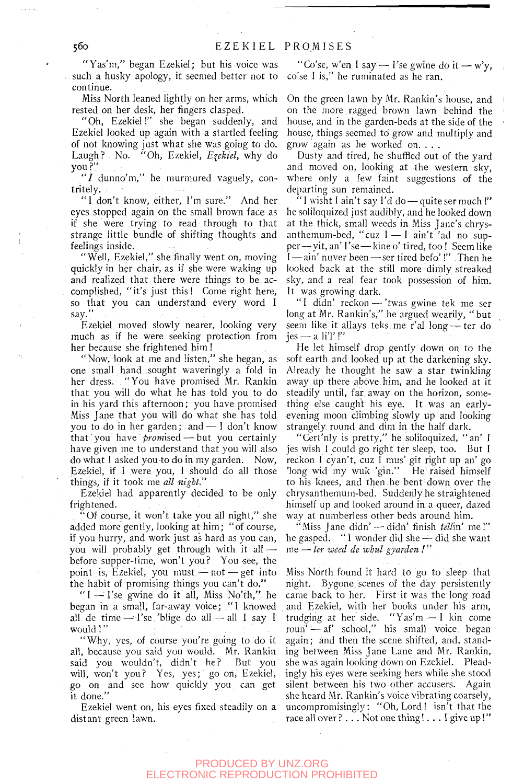560

"Yas'm," began Ezekiel; but his voice was such a husky apology, it seemed better not to continue.

Miss North leaned lightly on her arms, which rested on her desk, her fingers clasped.

"Oh, Ezekiel!" she began suddenly, and Ezekiel looked up again with a startled feeling, of not knowing just what she was going to do. Laugh? No. "Oh, Ezekiel, *Ezekiel,* why do you ?"

" $I$  dunno'm," he murmured vaguely, contritely.

" I don't know, either, I'm sure." And her eyes stopped again on the small brown face as if she were trying to read through to that strange little bundle of shifting thoughts and feelings inside.

"Well, Ezekiel," she finally went on, moving quickly in her chair, as if she were waking up and realized that there were things to be accomplished, "it's just this! Come right here, so that you can understand every word I say."

Ezekiel moved slowly nearer, looking very much as if he were seeking protection from her because she frightened him!

"Now, look at me and listen," she began, as one small hand sought waveringly a fold in her dress, "You have promised Mr. Rankin that you will do what he has told you to do in his yard this afternoon; you have promised Miss Jane that you will do what she has told you to do in her garden; and — ! don't know that you have  $\textit{promised}$  — but you certainly have given me to understand that you will also do what I asked you to do in my garden. Now, Ezekiel, if I were you, I should do all those things, if it took me *all night."* 

Ezekiel had apparently decided to be only frightened.

"Of course, it won't take you all night," she added more gently, looking at him; "of course, if you hurry, and work just as hard as you can, you will probably get through with it all before supper-time, won't you? You see, the point is, Ezekiel, you must  $-$  not  $-$  get into the habit of promising things you can't do."

"I — I'se gwine do it all, Miss No'th," he began in a small, far-away voice; " I knowed all de time  $-$  I'se 'blige do all  $-$  all I say I would !"

"Why, yes, of course you're going to do it all, because you said you would. Mr. Rankin said you wouldn't, didn't he? But you will, won't you? Yes, yes; go on, Ezekiel, go on and see how quickly you can get it done."

Ezekiel went on, his eyes fixed steadily on a distant green lawn.

"Co'se, w'en I say — I'se gwine do it — w'v. co'se I is," he ruminated as he ran.

On the green lawn by Mr. Rankin's house, and on the more ragged brown lawn behind the house, and in the garden-beds at the side of the house, things seemed to grow and multiply and grow again as he worked on. . . .

Dusty and tired, he shuffled out of the yard and moved on, looking at the western sky, where only a few faint suggestions of the departing sun remained.

"I wisht I ain't say I'd do — quite ser much !" he soliloquized just audibly, and he looked down at the thick, small weeds in Miss Jane's chrysanthemum-bed, "cuz  $I - I$  ain't 'ad no supper—yit, an' I'se—kineo' tired, too! Seem like I — ain' nuver been — ser tired befo'!" Then he looked back at the still more dimly streaked sky, and a real fear took possession of him. It was growing dark.

"I didn' reckon - 'twas gwine tek me ser long at Mr. Rankin's," he argued wearily, " but seem like it allays teks me r'al long — ter do  $jes - a li'l'$  !"

He let himself drop gently down on to the soft earth and looked up at the darkening sky. Already he thought he saw a star twinkling away up there above him, and he looked at it steadily until, far away on the horizon, something else caught his eye. It.was an eariyevening moon climbing slowly up and looking strangely, round and dim in the half dark.

"Cert'nly is pretty," he soliloquized, "an' I jes wish I could go right ter sleep, too. But I reckon I cyan't, cuz 1 mus' git right up an' go 'long wid my wuk 'gin." He raised himself to his knees, and then.he bent down over the chrysanthemum-bed. Suddenly he straightened himself up and looked around in a queer, dazed way at numberless other beds around him.

".Miss Jane didn'—-didn' finish *tell'm'* me!" he gasped. "1 wonder did she — did she want ine — *ier weed de whul pvarden 1'* 

Miss North found it hard to go to sleep that night. Bygone scenes of the day persistently came back to her. First it was the long road and Ezekiel, with her books under his arm, trudging at her side. "Yas'm—I kin come roun'  $-$  af' school," his small voice began again; and then the scene shifted, and, standing between Miss Jane Lane and Mr. Rankin, she was again looking down on Ezekiel. Pleadingly his eyes were seeking hers while she stood silent between his two other accusers. Again she heard Mr. Rankin's voice vibrating coarsely, uncompromisingly: "Oh, Lord! isn't that the race all over  $? \dots$  Not one thing!... I give up!"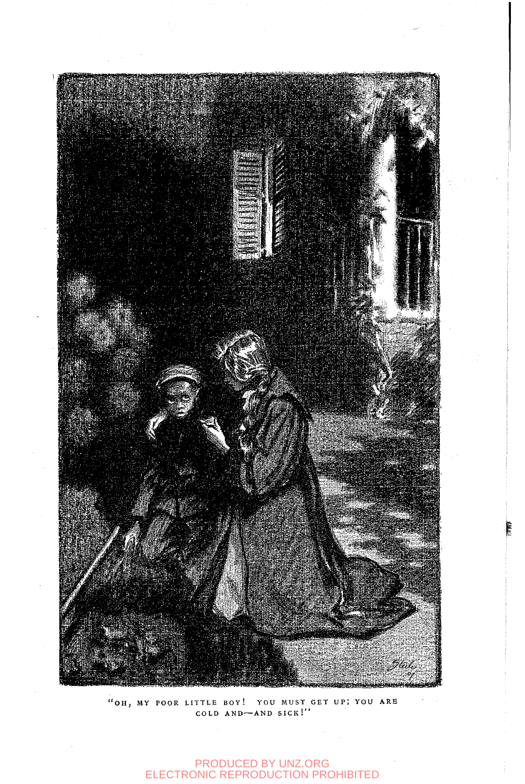

"OH, MY POOR LITTLE BOY! YOU MUST GET UP; YOU ARE COLD AND--AND SICK!"

### PRODUCED BY UNZ.ORG ELECTRONIC REPRODUCTION PROHIBITED